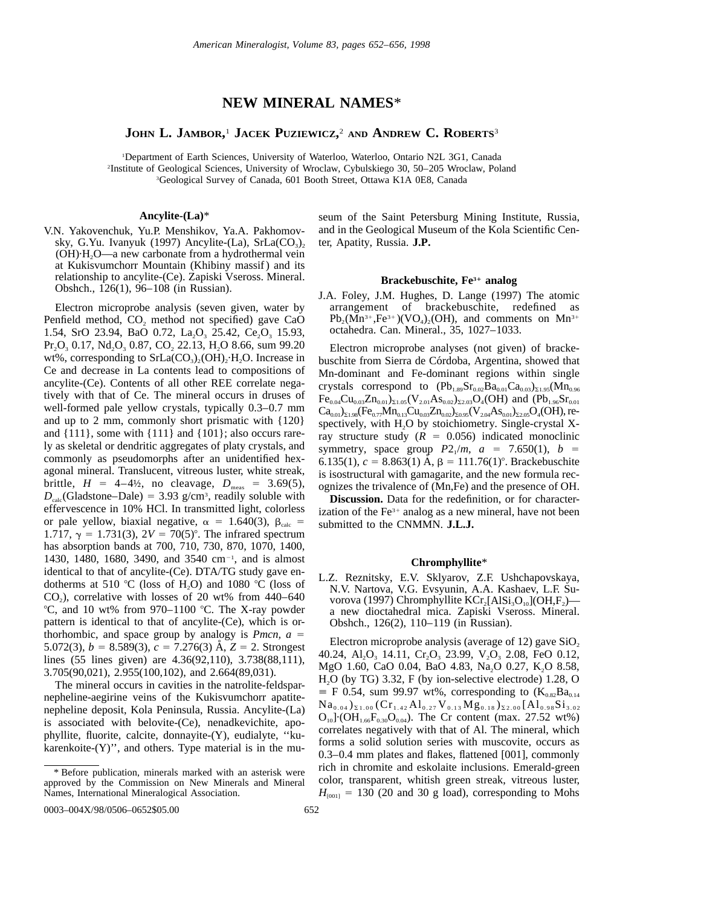# **NEW MINERAL NAMES**\*

# **JOHN L. JAMBOR,** <sup>1</sup> **JACEK PUZIEWICZ,** <sup>2</sup> **AND ANDREW C. ROBERTS**<sup>3</sup>

1 Department of Earth Sciences, University of Waterloo, Waterloo, Ontario N2L 3G1, Canada 2 Institute of Geological Sciences, University of Wroclaw, Cybulskiego 30, 50–205 Wroclaw, Poland 3 Geological Survey of Canada, 601 Booth Street, Ottawa K1A 0E8, Canada

#### **Ancylite-(La)**\*

V.N. Yakovenchuk, Yu.P. Menshikov, Ya.A. Pakhomovsky, G.Yu. Ivanyuk (1997) Ancylite-(La),  $SrLa(CO<sub>3</sub>)$ ,  $(OH)·H<sub>2</sub>O$ —a new carbonate from a hydrothermal vein at Kukisvumchorr Mountain (Khibiny massif ) and its relationship to ancylite-(Ce). Zapiski Vseross. Mineral. Obshch., 126(1), 96–108 (in Russian).

Electron microprobe analysis (seven given, water by Penfield method,  $CO<sub>2</sub>$  method not specified) gave CaO 1.54, SrO 23.94, BaO 0.72, La<sub>2</sub>O<sub>3</sub> 25.42, Ce<sub>2</sub>O<sub>3</sub> 15.93,  $Pr_2O_3$  0.17,  $Nd_2O_3$  0.87,  $CO_2$  22.13,  $H_2O$  8.66, sum 99.20 wt%, corresponding to  $SrLa(CO<sub>3</sub>)<sub>2</sub>(OH)<sub>2</sub>·H<sub>2</sub>O$ . Increase in Ce and decrease in La contents lead to compositions of ancylite-(Ce). Contents of all other REE correlate negatively with that of Ce. The mineral occurs in druses of well-formed pale yellow crystals, typically 0.3–0.7 mm and up to 2 mm, commonly short prismatic with {120} and  $\{111\}$ , some with  $\{111\}$  and  $\{101\}$ ; also occurs rarely as skeletal or dendritic aggregates of platy crystals, and commonly as pseudomorphs after an unidentified hexagonal mineral. Translucent, vitreous luster, white streak, brittle,  $H = 4-4\frac{1}{2}$ , no cleavage,  $D_{\text{meas}} = 3.69(5)$ ,  $D_{\text{calc}}$ (Gladstone–Dale) = 3.93 g/cm<sup>3</sup>, readily soluble with effervescence in 10% HCl. In transmitted light, colorless or pale yellow, biaxial negative,  $\alpha = 1.640(3)$ ,  $\beta_{\text{calc}} =$ 1.717,  $\gamma = 1.731(3)$ ,  $2V = 70(5)$ °. The infrared spectrum has absorption bands at 700, 710, 730, 870, 1070, 1400, 1430, 1480, 1680, 3490, and 3540 cm<sup>-1</sup>, and is almost identical to that of ancylite-(Ce). DTA/TG study gave endotherms at 510 °C (loss of H<sub>2</sub>O) and 1080 °C (loss of  $CO<sub>2</sub>$ ), correlative with losses of 20 wt% from 440–640  $\degree$ C, and 10 wt% from 970–1100  $\degree$ C. The X-ray powder pattern is identical to that of ancylite-(Ce), which is orthorhombic, and space group by analogy is *Pmcn*,  $a =$ 5.072(3),  $b = 8.589(3)$ ,  $c = 7.276(3)$  Å,  $Z = 2$ . Strongest lines (55 lines given) are 4.36(92,110), 3.738(88,111), 3.705(90,021), 2.955(100,102), and 2.664(89,031).

The mineral occurs in cavities in the natrolite-feldsparnepheline-aegirine veins of the Kukisvumchorr apatitenepheline deposit, Kola Peninsula, Russia. Ancylite-(La) is associated with belovite-(Ce), nenadkevichite, apophyllite, fluorite, calcite, donnayite-(Y), eudialyte, ''kukarenkoite- $(Y)$ ", and others. Type material is in the mu-

0003–004X/98/0506–0652\$05.00 652

seum of the Saint Petersburg Mining Institute, Russia, and in the Geological Museum of the Kola Scientific Center, Apatity, Russia. **J.P.**

### **Brackebuschite, Fe3**<sup>1</sup> **analog**

J.A. Foley, J.M. Hughes, D. Lange (1997) The atomic arrangement of brackebuschite, redefined as  $Pb_2(Mn^{3+},Fe^{3+}) (VO_4)_2(OH)$ , and comments on  $Mn^{3+}$ octahedra. Can. Mineral., 35, 1027–1033.

Electron microprobe analyses (not given) of brackebuschite from Sierra de Córdoba, Argentina, showed that Mn-dominant and Fe-dominant regions within single crystals correspond to  $(Pb_{1.89}Sr_{0.02}Ba_{0.01}Ca_{0.03})_{\Sigma1.95}(Mn_{0.96}$  $Fe_{0.04}Cu_{0.03}Zn_{0.01}$ <sub>2.05</sub> $(V_{2.01}As_{0.02})_{\Sigma_{2.03}}O_4(OH)$  and  $(Pb_{1.96}Sr_{0.01})$  $Ca_{0.01}$ )<sub>S1.98</sub>(Fe<sub>0.77</sub>Mn<sub>0.13</sub>Cu<sub>0.03</sub>Zn<sub>0.02</sub>)<sub>S0.95</sub>(V<sub>2.04</sub>As<sub>0.01</sub>)<sub>S2.05</sub>O<sub>4</sub>(OH), respectively, with  $H_2O$  by stoichiometry. Single-crystal Xray structure study  $(R = 0.056)$  indicated monoclinic symmetry, space group  $P2_1/m$ ,  $a = 7.650(1)$ ,  $b =$ 6.135(1),  $c = 8.863(1)$  A,  $\beta = 111.76(1)^\circ$ . Brackebuschite is isostructural with gamagarite, and the new formula recognizes the trivalence of (Mn,Fe) and the presence of OH.

**Discussion.** Data for the redefinition, or for characterization of the  $Fe<sup>3+</sup>$  analog as a new mineral, have not been submitted to the CNMMN. **J.L.J.**

### **Chromphyllite**\*

L.Z. Reznitsky, E.V. Sklyarov, Z.F. Ushchapovskaya, N.V. Nartova, V.G. Evsyunin, A.A. Kashaev, L.F. Suvorova (1997) Chromphyllite  $\text{KCr}_{2}[AISi_{3}O_{10}](OH,F_{2})$  a new dioctahedral mica. Zapiski Vseross. Mineral. Obshch., 126(2), 110–119 (in Russian).

Electron microprobe analysis (average of 12) gave  $SiO<sub>2</sub>$ 40.24,  $Al_2O_3$  14.11,  $Cr_2O_3$  23.99,  $V_2O_3$  2.08, FeO 0.12, MgO 1.60, CaO 0.04, BaO 4.83, Na<sub>2</sub>O 0.27, K<sub>2</sub>O 8.58, H2O (by TG) 3.32, F (by ion-selective electrode) 1.28, O  $\equiv$  F 0.54, sum 99.97 wt%, corresponding to  $(K_{0.82}Ba_{0.14})$  $Na_{0.04}$ ) $_{21.00}$  (Cr<sub>1.42</sub> Al<sub>0.27</sub> V<sub>0.13</sub> Mg<sub>0.18</sub>) $_{22.00}$  [Al<sub>0.98</sub>Si<sub>3.02</sub>]  $O_{10}$ ]·(OH<sub>1.66</sub>F<sub>0.30</sub>O<sub>0.04</sub>). The Cr content (max. 27.52 wt%) correlates negatively with that of Al. The mineral, which forms a solid solution series with muscovite, occurs as 0.3–0.4 mm plates and flakes, flattened [001], commonly rich in chromite and eskolaite inclusions. Emerald-green color, transparent, whitish green streak, vitreous luster,  $H_{[001]} = 130$  (20 and 30 g load), corresponding to Mohs

<sup>\*</sup> Before publication, minerals marked with an asterisk were approved by the Commission on New Minerals and Mineral Names, International Mineralogical Association.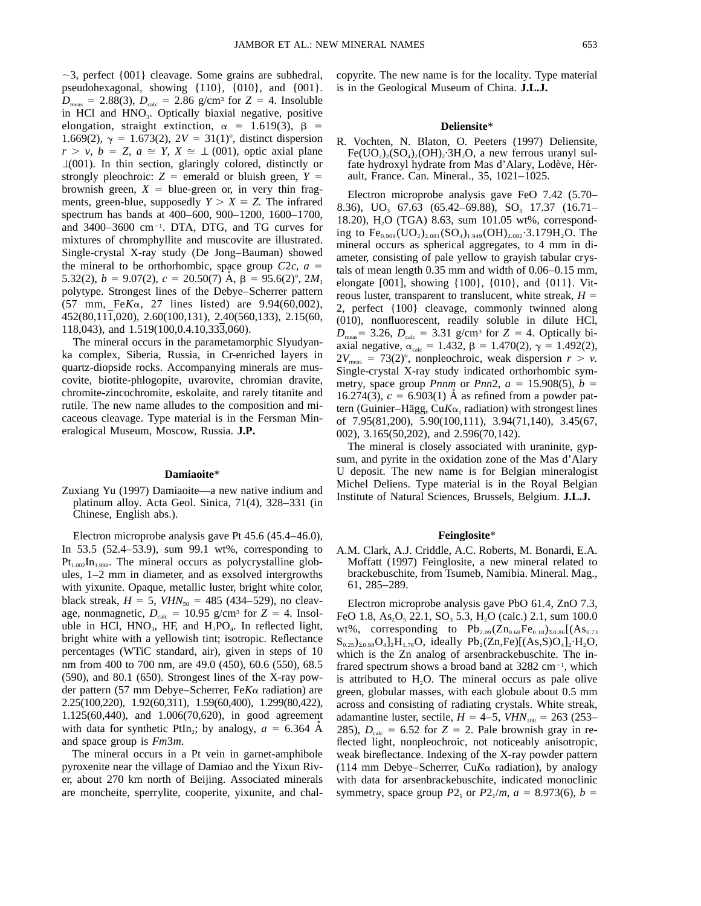$\sim$ 3, perfect {001} cleavage. Some grains are subhedral, pseudohexagonal, showing {110}, {010}, and {001}.  $D_{\text{meas}} = 2.88(3), D_{\text{calc}} = 2.86$  g/cm<sup>3</sup> for  $Z = 4$ . Insoluble in HCl and HNO<sub>3</sub>. Optically biaxial negative, positive elongation, straight extinction,  $\alpha = 1.619(3)$ ,  $\beta =$ 1.669(2),  $\gamma = 1.673(2), 2V = 31(1)^\circ$ , distinct dispersion  $r > v$ ,  $b = Z$ ,  $a \cong Y$ ,  $X \cong \perp (001)$ , optic axial plane ⊥(001). In thin section, glaringly colored, distinctly or strongly pleochroic:  $Z =$  emerald or bluish green,  $Y =$ brownish green,  $X =$  blue-green or, in very thin fragments, green-blue, supposedly  $Y > X \cong Z$ . The infrared spectrum has bands at 400–600, 900–1200, 1600–1700, and  $3400-3600$  cm<sup>-1</sup>. DTA, DTG, and TG curves for mixtures of chromphyllite and muscovite are illustrated. Single-crystal X-ray study (De Jong–Bauman) showed the mineral to be orthorhombic, space group  $C2c$ ,  $a =$ 5.32(2),  $b = 9.07(2)$ ,  $c = 20.50(7)$   $\AA$ ,  $\beta = 95.6(2)^\circ$ ,  $2M_1$ polytype. Strongest lines of the Debye–Scherrer pattern (57 mm, Fe*K*a, 27 lines listed) are 9.94(60,002), 452(80,111,020), 2.60(100,131), 2.40(560,133), 2.15(60, 118,043), and 1.519(100,0.4.10,333,060).

The mineral occurs in the parametamorphic Slyudyanka complex, Siberia, Russia, in Cr-enriched layers in quartz-diopside rocks. Accompanying minerals are muscovite, biotite-phlogopite, uvarovite, chromian dravite, chromite-zincochromite, eskolaite, and rarely titanite and rutile. The new name alludes to the composition and micaceous cleavage. Type material is in the Fersman Mineralogical Museum, Moscow, Russia. **J.P.**

### **Damiaoite**\*

Zuxiang Yu (1997) Damiaoite—a new native indium and platinum alloy. Acta Geol. Sinica, 71(4), 328–331 (in Chinese, English abs.).

Electron microprobe analysis gave Pt 45.6 (45.4–46.0), In 53.5 (52.4–53.9), sum 99.1 wt%, corresponding to  $Pt<sub>1.002</sub> In<sub>1.998</sub>$ . The mineral occurs as polycrystalline globules, 1–2 mm in diameter, and as exsolved intergrowths with yixunite. Opaque, metallic luster, bright white color, black streak,  $H = 5$ ,  $VHN<sub>50</sub> = 485 (434–529)$ , no cleavage, nonmagnetic,  $D_{\text{calc}} = 10.95$  g/cm<sup>3</sup> for  $Z = 4$ . Insoluble in HCl,  $HNO<sub>3</sub>$ , HF, and  $H<sub>3</sub>PO<sub>4</sub>$ . In reflected light, bright white with a yellowish tint; isotropic. Reflectance percentages (WTiC standard, air), given in steps of 10 nm from 400 to 700 nm, are 49.0 (450), 60.6 (550), 68.5 (590), and 80.1 (650). Strongest lines of the X-ray powder pattern (57 mm Debye–Scherrer, Fe*K*a radiation) are 2.25(100,220), 1.92(60,311), 1.59(60,400), 1.299(80,422), 1.125(60,440), and 1.006(70,620), in good agreement with data for synthetic PtIn<sub>2</sub>; by analogy,  $a = 6.364$  Å and space group is *Fm*3*m.*

The mineral occurs in a Pt vein in garnet-amphibole pyroxenite near the village of Damiao and the Yixun River, about 270 km north of Beijing. Associated minerals are moncheite, sperrylite, cooperite, yixunite, and chalcopyrite. The new name is for the locality. Type material is in the Geological Museum of China. **J.L.J.**

### **Deliensite**\*

R. Vochten, N. Blaton, O. Peeters (1997) Deliensite,  $Fe( UO<sub>2</sub>)(SO<sub>4</sub>)(OH)$ , 3H, O, a new ferrous uranyl sulfate hydroxyl hydrate from Mas d'Alary, Lodève, Hérault, France. Can. Mineral., 35, 1021–1025.

Electron microprobe analysis gave FeO 7.42 (5.70– 8.36), UO<sub>3</sub> 67.63 (65.42–69.88), SO<sub>3</sub> 17.37 (16.71– 18.20), H<sub>2</sub>O (TGA) 8.63, sum 101.05 wt%, corresponding to  $Fe_{0.909} (UO_2)_{2.081} (SO_4)_{1.949} (OH)_{2.082} \cdot 3.179 H_2 O$ . The mineral occurs as spherical aggregates, to 4 mm in diameter, consisting of pale yellow to grayish tabular crystals of mean length 0.35 mm and width of 0.06–0.15 mm, elongate [001], showing {100}, {010}, and {011}. Vitreous luster, transparent to translucent, white streak,  $H =$ 2, perfect {100} cleavage, commonly twinned along (010), nonfluorescent, readily soluble in dilute HCl,  $D_{\text{meas}}$  = 3.26,  $D_{\text{calc}}$  = 3.31 g/cm<sup>3</sup> for *Z* = 4. Optically biaxial negative,  $\alpha_{\text{calc}} = 1.432$ ,  $\beta = 1.470(2)$ ,  $\gamma = 1.492(2)$ ,  $2V_{\text{meas}} = 73(2)^\circ$ , nonpleochroic, weak dispersion  $r > v$ . Single-crystal X-ray study indicated orthorhombic symmetry, space group *Pnnm* or *Pnn*2,  $a = 15.908(5)$ ,  $b =$ 16.274(3),  $c = 6.903(1)$  Å as refined from a powder pattern (Guinier–Hägg, Cu $K\alpha_1$  radiation) with strongest lines of 7.95(81,200), 5.90(100,111), 3.94(71,140), 3.45(67, 002), 3.165(50,202), and 2.596(70,142).

The mineral is closely associated with uraninite, gypsum, and pyrite in the oxidation zone of the Mas d'Alary U deposit. The new name is for Belgian mineralogist Michel Deliens. Type material is in the Royal Belgian Institute of Natural Sciences, Brussels, Belgium. **J.L.J.**

### **Feinglosite**\*

A.M. Clark, A.J. Criddle, A.C. Roberts, M. Bonardi, E.A. Moffatt (1997) Feinglosite, a new mineral related to brackebuschite, from Tsumeb, Namibia. Mineral. Mag., 61, 285–289.

Electron microprobe analysis gave PbO 61.4, ZnO 7.3, FeO 1.8,  $As_2O_5$  22.1, SO<sub>3</sub> 5.3, H<sub>2</sub>O (calc.) 2.1, sum 100.0 wt%, corresponding to  $Pb_{2.09}(Zn_{0.68}Fe_{0.18})_{\Sigma 0.86}[(As_{0.73}$  $S_{0.25}$ <sub>20.98</sub>O<sub>4</sub>]<sub>2</sub>H<sub>1.76</sub>O, ideally Pb<sub>2</sub>(Zn,Fe)[(As,S)O<sub>4</sub>]<sub>2</sub>·H<sub>2</sub>O, which is the Zn analog of arsenbrackebuschite. The infrared spectrum shows a broad band at  $3282 \text{ cm}^{-1}$ , which is attributed to H<sub>2</sub>O. The mineral occurs as pale olive green, globular masses, with each globule about 0.5 mm across and consisting of radiating crystals. White streak, adamantine luster, sectile,  $H = 4-5$ ,  $VHN<sub>100</sub> = 263 (253-$ 285),  $D_{\text{calc}} = 6.52$  for  $Z = 2$ . Pale brownish gray in reflected light, nonpleochroic, not noticeably anisotropic, weak bireflectance. Indexing of the X-ray powder pattern (114 mm Debye–Scherrer, Cu $K\alpha$  radiation), by analogy with data for arsenbrackebuschite, indicated monoclinic symmetry, space group *P*2<sub>1</sub> or *P*2<sub>1</sub>/*m*,  $a = 8.973(6)$ ,  $b =$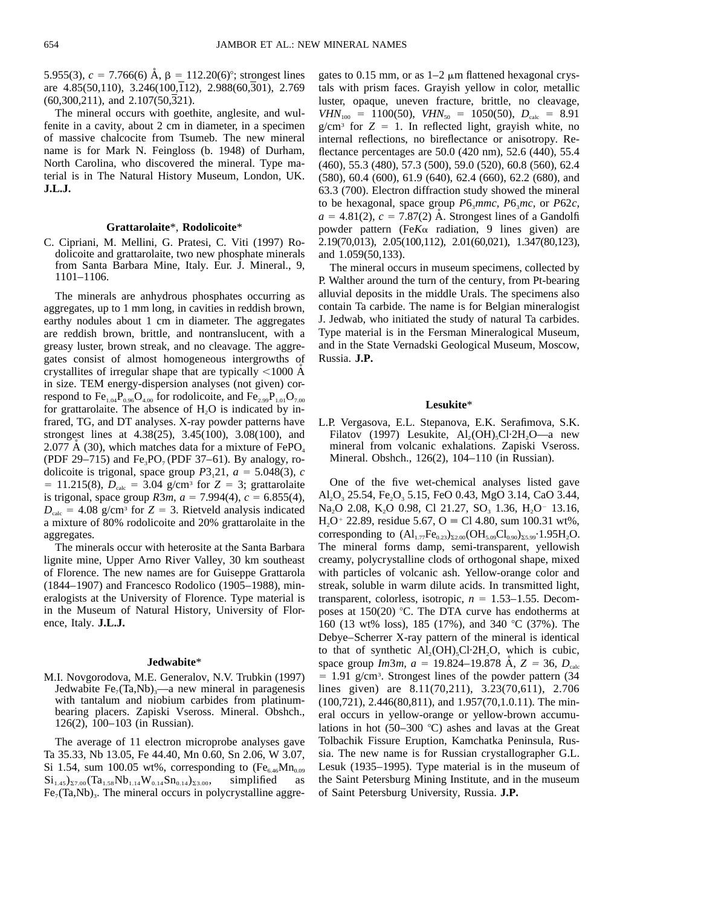5.955(3),  $c = 7.766(6)$  Å,  $\beta = 112.20(6)$ °; strongest lines are  $4.85(50,110)$ ,  $3.246(100,112)$ ,  $2.988(60,301)$ ,  $2.769$  $(60,300,211)$ , and  $2.107(50,321)$ .

The mineral occurs with goethite, anglesite, and wulfenite in a cavity, about 2 cm in diameter, in a specimen of massive chalcocite from Tsumeb. The new mineral name is for Mark N. Feingloss (b. 1948) of Durham, North Carolina, who discovered the mineral. Type material is in The Natural History Museum, London, UK. **J.L.J.**

### **Grattarolaite**\*, **Rodolicoite**\*

C. Cipriani, M. Mellini, G. Pratesi, C. Viti (1997) Rodolicoite and grattarolaite, two new phosphate minerals from Santa Barbara Mine, Italy. Eur. J. Mineral., 9, 1101–1106.

The minerals are anhydrous phosphates occurring as aggregates, up to 1 mm long, in cavities in reddish brown, earthy nodules about 1 cm in diameter. The aggregates are reddish brown, brittle, and nontranslucent, with a greasy luster, brown streak, and no cleavage. The aggregates consist of almost homogeneous intergrowths of crystallites of irregular shape that are typically  $\langle 1000 \text{ Å}$ in size. TEM energy-dispersion analyses (not given) correspond to  $\text{Fe}_{1.04}P_{0.96}O_{4.00}$  for rodolicoite, and  $\text{Fe}_{2.99}P_{1.01}O_{7.00}$ for grattarolaite. The absence of  $H<sub>2</sub>O$  is indicated by infrared, TG, and DT analyses. X-ray powder patterns have strongest lines at 4.38(25), 3.45(100), 3.08(100), and 2.077 Å (30), which matches data for a mixture of  $FePO<sub>4</sub>$ (PDF 29–715) and  $Fe<sub>3</sub>PO<sub>7</sub>$  (PDF 37–61). By analogy, rodolicoite is trigonal, space group  $P3_121$ ,  $a = 5.048(3)$ , *c*  $= 11.215(8)$ ,  $D_{\text{calc}} = 3.04$  g/cm<sup>3</sup> for  $Z = 3$ ; grattarolaite is trigonal, space group *R*3*m*,  $a = 7.994(4)$ ,  $c = 6.855(4)$ ,  $D_{\text{calc}}$  = 4.08 g/cm<sup>3</sup> for *Z* = 3. Rietveld analysis indicated a mixture of 80% rodolicoite and 20% grattarolaite in the aggregates.

The minerals occur with heterosite at the Santa Barbara lignite mine, Upper Arno River Valley, 30 km southeast of Florence. The new names are for Guiseppe Grattarola (1844–1907) and Francesco Rodolico (1905–1988), mineralogists at the University of Florence. Type material is in the Museum of Natural History, University of Florence, Italy. **J.L.J.**

## **Jedwabite**\*

M.I. Novgorodova, M.E. Generalov, N.V. Trubkin (1997) Jedwabite  $Fe<sub>7</sub>(Ta, Nb)<sub>3</sub>$ —a new mineral in paragenesis with tantalum and niobium carbides from platinumbearing placers. Zapiski Vseross. Mineral. Obshch., 126(2), 100–103 (in Russian).

The average of 11 electron microprobe analyses gave Ta 35.33, Nb 13.05, Fe 44.40, Mn 0.60, Sn 2.06, W 3.07, Si 1.54, sum 100.05 wt%, corresponding to  $(Fe<sub>6.46</sub>Mn<sub>0.09</sub>)$  $Si<sub>1.45</sub>_{\Sigma 7.00}$   $Ta<sub>1.58</sub>Nb<sub>1.14</sub>W<sub>0.14</sub>Sn<sub>0.14</sub>S<sub>23.00</sub>$ , simplified as  $Fe<sub>7</sub>(Ta, Nb)$ , The mineral occurs in polycrystalline aggregates to 0.15 mm, or as  $1-2 \mu m$  flattened hexagonal crystals with prism faces. Grayish yellow in color, metallic luster, opaque, uneven fracture, brittle, no cleavage,  $VHN<sub>100</sub> = 1100(50), VHN<sub>50</sub> = 1050(50), D<sub>calc</sub> = 8.91$  $g/cm^3$  for  $Z = 1$ . In reflected light, grayish white, no internal reflections, no bireflectance or anisotropy. Reflectance percentages are 50.0 (420 nm), 52.6 (440), 55.4 (460), 55.3 (480), 57.3 (500), 59.0 (520), 60.8 (560), 62.4 (580), 60.4 (600), 61.9 (640), 62.4 (660), 62.2 (680), and 63.3 (700). Electron diffraction study showed the mineral to be hexagonal, space group  $P6_3$ *mmc, P6*<sub>3</sub>*mc*, or *P62c*,  $a = 4.81(2)$ ,  $c = 7.87(2)$  A. Strongest lines of a Gandolfi powder pattern (Fe $K\alpha$  radiation, 9 lines given) are 2.19(70,013), 2.05(100,112), 2.01(60,021), 1.347(80,123), and 1.059(50,133).

The mineral occurs in museum specimens, collected by P. Walther around the turn of the century, from Pt-bearing alluvial deposits in the middle Urals. The specimens also contain Ta carbide. The name is for Belgian mineralogist J. Jedwab, who initiated the study of natural Ta carbides. Type material is in the Fersman Mineralogical Museum, and in the State Vernadski Geological Museum, Moscow, Russia. **J.P.**

### **Lesukite**\*

L.P. Vergasova, E.L. Stepanova, E.K. Serafimova, S.K. Filatov (1997) Lesukite,  $Al_2(OH)_{5}Cl·2H_2O$ —a new mineral from volcanic exhalations. Zapiski Vseross. Mineral. Obshch., 126(2), 104–110 (in Russian).

One of the five wet-chemical analyses listed gave Al<sub>2</sub>O<sub>3</sub> 25.54, Fe<sub>2</sub>O<sub>3</sub> 5.15, FeO 0.43, MgO 3.14, CaO 3.44, Na<sub>2</sub>O 2.08, K<sub>2</sub>O 0.98, Cl 21.27, SO<sub>3</sub> 1.36, H<sub>2</sub>O<sup>-</sup> 13.16,  $H<sub>2</sub>O<sup>+</sup>$  22.89, residue 5.67, O = Cl 4.80, sum 100.31 wt%, corresponding to  $(Al_{1.77}Fe_{0.23})_{\Sigma2.00}(OH_{5.09}Cl_{0.90})_{\Sigma5.99}\cdot1.95H_2O.$ The mineral forms damp, semi-transparent, yellowish creamy, polycrystalline clods of orthogonal shape, mixed with particles of volcanic ash. Yellow-orange color and streak, soluble in warm dilute acids. In transmitted light, transparent, colorless, isotropic,  $n = 1.53-1.55$ . Decomposes at  $150(20)$  °C. The DTA curve has endotherms at 160 (13 wt% loss), 185 (17%), and 340 °C (37%). The Debye–Scherrer X-ray pattern of the mineral is identical to that of synthetic  $\text{Al}_2(\text{OH})_5\text{Cl}\cdot2\text{H}_2\text{O}$ , which is cubic, space group *Im*3*m*,  $a = 19.824 - 19.878$  Å,  $Z = 36$ ,  $D_{\text{calc}}$  $= 1.91$  g/cm<sup>3</sup>. Strongest lines of the powder pattern (34 lines given) are 8.11(70,211), 3.23(70,611), 2.706 (100,721), 2.446(80,811), and 1.957(70,1.0.11). The mineral occurs in yellow-orange or yellow-brown accumulations in hot  $(50-300 \degree C)$  ashes and lavas at the Great Tolbachik Fissure Eruption, Kamchatka Peninsula, Russia. The new name is for Russian crystallographer G.L. Lesuk (1935–1995). Type material is in the museum of the Saint Petersburg Mining Institute, and in the museum of Saint Petersburg University, Russia. **J.P.**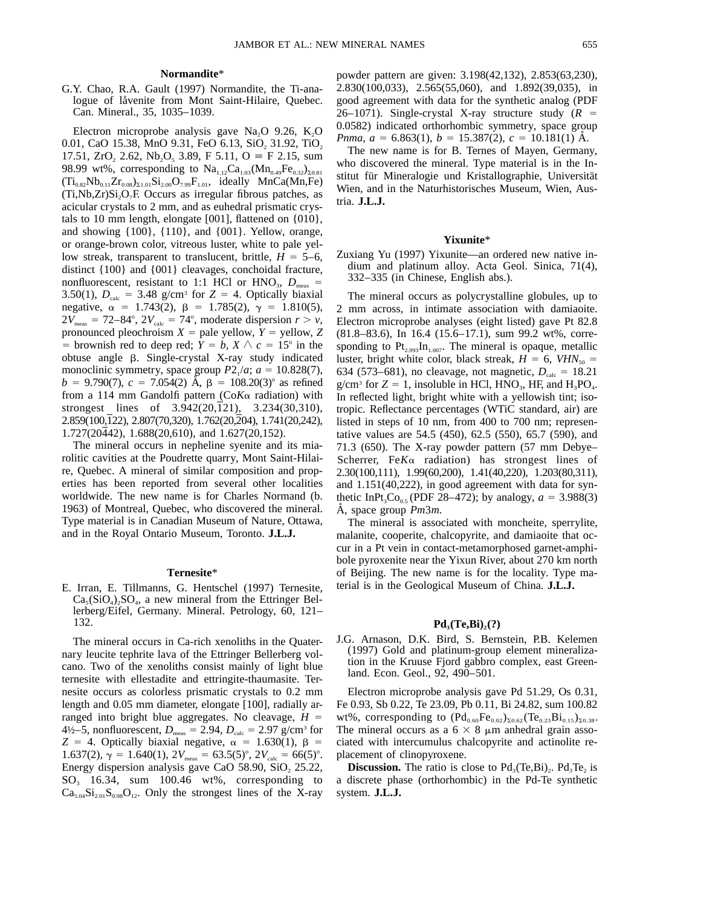### **Normandite**\*

G.Y. Chao, R.A. Gault (1997) Normandite, the Ti-analogue of låvenite from Mont Saint-Hilaire, Quebec. Can. Mineral., 35, 1035–1039.

Electron microprobe analysis gave Na<sub>2</sub>O 9.26, K<sub>2</sub>O 0.01, CaO 15.38, MnO 9.31, FeO 6.13, SiO<sub>2</sub> 31.92, TiO<sub>2</sub> 17.51, ZrO, 2.62, Nb<sub>2</sub>O<sub>5</sub> 3.89, F 5.11, O  $\equiv$  F 2.15, sum 98.99 wt%, corresponding to  $\text{Na}_{1.12}\text{Ca}_{1.03}(\text{Mn}_{0.49}\text{Fe}_{0.32})_{\text{20.81}}$  $(Ti_{0.82}Nb_{0.11}Zr_{0.08})_{\Sigma1.01}Si_{2.00}O_{7.99}F_{1.01}$ , ideally MnCa(Mn,Fe)  $(Ti,Nb,Zr)Si<sub>2</sub>O<sub>7</sub>F.$  Occurs as irregular fibrous patches, as acicular crystals to 2 mm, and as euhedral prismatic crystals to 10 mm length, elongate [001], flattened on {010}, and showing {100}, {110}, and {001}. Yellow, orange, or orange-brown color, vitreous luster, white to pale yellow streak, transparent to translucent, brittle,  $H = 5{\text -}6$ , distinct {100} and {001} cleavages, conchoidal fracture, nonfluorescent, resistant to 1:1 HCl or HNO<sub>3</sub>,  $D_{\text{meas}} =$ 3.50(1),  $D_{\text{calc}} = 3.48$  g/cm<sup>3</sup> for  $Z = 4$ . Optically biaxial negative,  $\alpha = 1.743(2)$ ,  $\beta = 1.785(2)$ ,  $\gamma = 1.810(5)$ ,  $2V_{\text{meas}} = 72-84^{\circ}, 2V_{\text{calc}} = 74^{\circ}, \text{ moderate dispersion } r > v,$ pronounced pleochroism  $X =$  pale yellow,  $Y =$  yellow,  $Z$ = brownish red to deep red;  $Y = b$ ,  $X \wedge c = 15^{\circ}$  in the obtuse angle  $\beta$ . Single-crystal X-ray study indicated monoclinic symmetry, space group  $P2_1/a$ ;  $a = 10.828(7)$ ,  $b = 9.790(7)$ ,  $c = 7.054(2)$  Å,  $\beta = 108.20(3)^\circ$  as refined from a 114 mm Gandolfi pattern ( $C_0K_\alpha$  radiation) with strongest lines of 3.942(20,121), 3.234(30,310), 2.859(100,122), 2.807(70,320), 1.762(20,204), 1.741(20,242), 1.727(20442), 1.688(20,610), and 1.627(20,152).

The mineral occurs in nepheline syenite and its miarolitic cavities at the Poudrette quarry, Mont Saint-Hilaire, Quebec. A mineral of similar composition and properties has been reported from several other localities worldwide. The new name is for Charles Normand (b. 1963) of Montreal, Quebec, who discovered the mineral. Type material is in Canadian Museum of Nature, Ottawa, and in the Royal Ontario Museum, Toronto. **J.L.J.**

### **Ternesite**\*

E. Irran, E. Tillmanns, G. Hentschel (1997) Ternesite,  $Ca<sub>5</sub>(SiO<sub>4</sub>)<sub>2</sub>SO<sub>4</sub>$ , a new mineral from the Ettringer Bellerberg/Eifel, Germany. Mineral. Petrology, 60, 121– 132.

The mineral occurs in Ca-rich xenoliths in the Quaternary leucite tephrite lava of the Ettringer Bellerberg volcano. Two of the xenoliths consist mainly of light blue ternesite with ellestadite and ettringite-thaumasite. Ternesite occurs as colorless prismatic crystals to 0.2 mm length and 0.05 mm diameter, elongate [100], radially arranged into bright blue aggregates. No cleavage,  $H =$ 4½–5, nonfluorescent,  $D_{\text{meas}} = 2.94, D_{\text{calc}} = 2.97 \text{ g/cm}^3 \text{ for}$  $Z = 4$ . Optically biaxial negative,  $\alpha = 1.630(1)$ ,  $\beta =$ 1.637(2),  $\gamma = 1.640(1)$ ,  $2V_{\text{meas}} = 63.5(5)^\circ$ ,  $2V_{\text{calc}} = 66(5)^\circ$ . Energy dispersion analysis gave CaO 58.90,  $SiO<sub>2</sub>$  25.22,  $SO<sub>3</sub>$  16.34, sum 100.46 wt%, corresponding to  $Ca<sub>5.04</sub>Si<sub>2.01</sub>S<sub>0.98</sub>O<sub>12</sub>$ . Only the strongest lines of the X-ray

powder pattern are given: 3.198(42,132), 2.853(63,230), 2.830(100,033), 2.565(55,060), and 1.892(39,035), in good agreement with data for the synthetic analog (PDF 26–1071). Single-crystal X-ray structure study  $(R =$ 0.0582) indicated orthorhombic symmetry, space group

*Pnma, a* = 6.863(1),  $b = 15.387(2)$ ,  $c = 10.181(1)$  Å. The new name is for B. Ternes of Mayen, Germany, who discovered the mineral. Type material is in the Institut für Mineralogie und Kristallographie, Universität Wien, and in the Naturhistorisches Museum, Wien, Austria. **J.L.J.**

### **Yixunite**\*

Zuxiang Yu (1997) Yixunite—an ordered new native indium and platinum alloy. Acta Geol. Sinica, 71(4), 332–335 (in Chinese, English abs.).

The mineral occurs as polycrystalline globules, up to 2 mm across, in intimate association with damiaoite. Electron microprobe analyses (eight listed) gave Pt 82.8 (81.8–83.6), In 16.4 (15.6–17.1), sum 99.2 wt%, corresponding to  $Pt_{2.993}In_{1.007}$ . The mineral is opaque, metallic luster, bright white color, black streak,  $H = 6$ ,  $VHN<sub>50</sub> =$ 634 (573–681), no cleavage, not magnetic,  $D_{\text{calc}} = 18.21$ g/cm<sup>3</sup> for  $Z = 1$ , insoluble in HCl, HNO<sub>3</sub>, HF, and H<sub>3</sub>PO<sub>4</sub>. In reflected light, bright white with a yellowish tint; isotropic. Reflectance percentages (WTiC standard, air) are listed in steps of 10 nm, from 400 to 700 nm; representative values are 54.5 (450), 62.5 (550), 65.7 (590), and 71.3 (650). The X-ray powder pattern (57 mm Debye– Scherrer, Fe $K\alpha$  radiation) has strongest lines of 2.30(100,111), 1.99(60,200), 1.41(40,220), 1.203(80,311), and 1.151(40,222), in good agreement with data for synthetic InPt<sub>3</sub>Co<sub>0.5</sub> (PDF 28–472); by analogy,  $a = 3.988(3)$  $\AA$ , space group *Pm3m*.

The mineral is associated with moncheite, sperrylite, malanite, cooperite, chalcopyrite, and damiaoite that occur in a Pt vein in contact-metamorphosed garnet-amphibole pyroxenite near the Yixun River, about 270 km north of Beijing. The new name is for the locality. Type material is in the Geological Museum of China. **J.L.J.**

### $Pd<sub>3</sub>(Te,Bi),(?)$

J.G. Arnason, D.K. Bird, S. Bernstein, P.B. Kelemen (1997) Gold and platinum-group element mineralization in the Kruuse Fjord gabbro complex, east Greenland. Econ. Geol., 92, 490–501.

Electron microprobe analysis gave Pd 51.29, Os 0.31, Fe 0.93, Sb 0.22, Te 23.09, Pb 0.11, Bi 24.82, sum 100.82 wt%, corresponding to  $(Pd_{0.60}Fe_{0.02})_{\Sigma 0.62} (Te_{0.23}Bi_{0.15})_{\Sigma 0.38}$ . The mineral occurs as a  $6 \times 8$  µm anhedral grain associated with intercumulus chalcopyrite and actinolite replacement of clinopyroxene.

**Discussion.** The ratio is close to  $Pd_3(Te,Bi)_2$ .  $Pd_3Te_2$  is a discrete phase (orthorhombic) in the Pd-Te synthetic system. **J.L.J.**